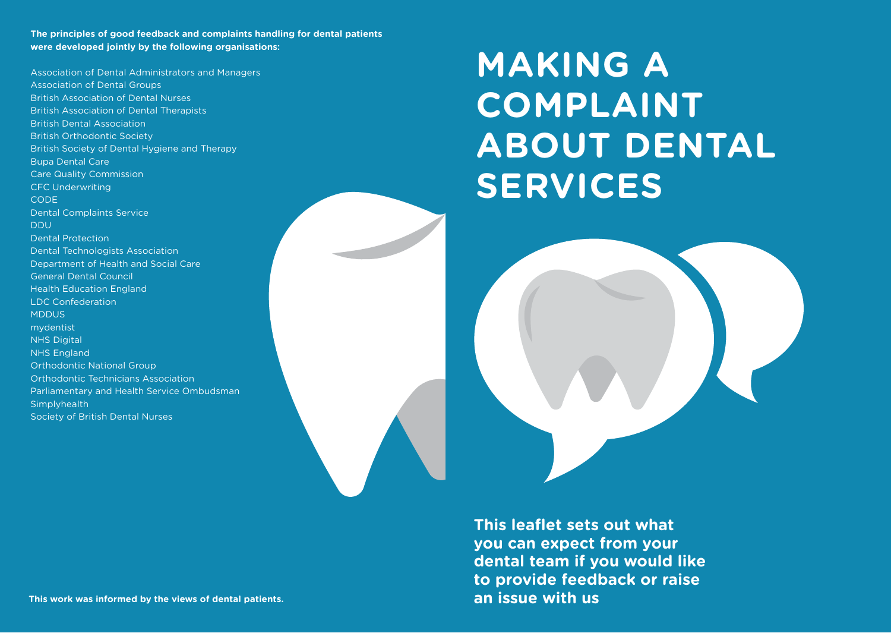**The principles of good feedback and complaints handling for dental patients were developed jointly by the following organisations:** 

Association of Dental Administrators and Managers Association of Dental Groups British Association of Dental Nurses British Association of Dental Therapists British Dental Association British Orthodontic Society British Society of Dental Hygiene and Therapy Bupa Dental Care Care Quality Commission CFC Underwriting **CODE** Dental Complaints Service DDU Dental Protection Dental Technologists Association Department of Health and Social Care General Dental Council Health Education England LDC Confederation MDDUS mydentist NHS Digital NHS England Orthodontic National Group Orthodontic Technicians Association Parliamentary and Health Service Ombudsman **Simplyhealth** Society of British Dental Nurses

# **MAKING A COMPLAINT ABOUT DENTAL SERVICES**



**This leaflet sets out what you can expect from your dental team if you would like to provide feedback or raise an issue with us**

**This work was informed by the views of dental patients.**